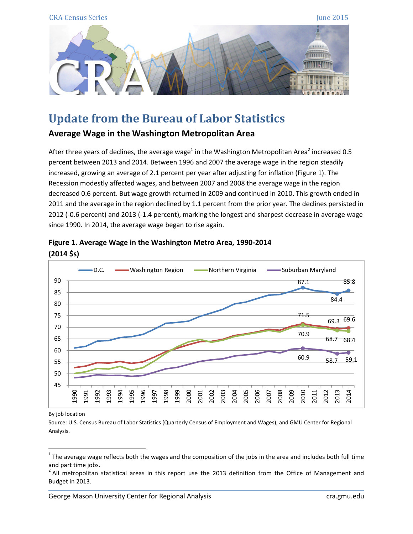

## Update from the Bureau of Labor Statistics

Average Wage in the Washington Metropolitan Area

After three years of declines, the average wage<sup>1</sup> in the Washington Metropolitan Area<sup>2</sup> increased 0.5 percent between 2013 and 2014. Between 1996 and 2007 the average wage in the region steadily increased, growing an average of 2.1 percent per year after adjusting for inflation (Figure 1). The Recession modestly affected wages, and between 2007 and 2008 the average wage in the region decreased 0.6 percent. But wage growth returned in 2009 and continued in 2010. This growth ended in 2011 and the average in the region declined by 1.1 percent from the prior year. The declines persisted in 2012 (-0.6 percent) and 2013 (-1.4 percent), marking the longest and sharpest decrease in average wage since 1990. In 2014, the average wage began to rise again.



## Figure 1. Average Wage in the Washington Metro Area, 1990-2014  $(2014 \text{ } **5**)$

By job location

l

Source: U.S. Census Bureau of Labor Statistics (Quarterly Census of Employment and Wages), and GMU Center for Regional Analysis.

 $1$  The average wage reflects both the wages and the composition of the jobs in the area and includes both full time and part time jobs.

 $2$  All metropolitan statistical areas in this report use the 2013 definition from the Office of Management and Budget in 2013.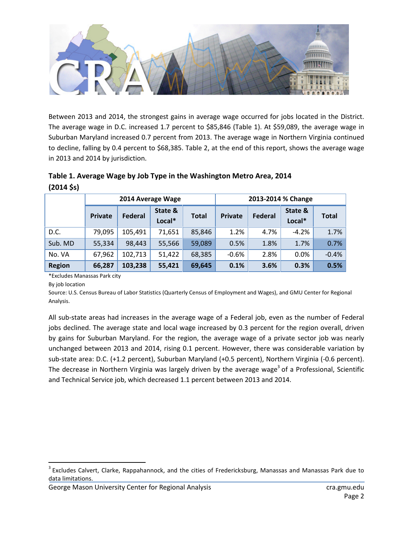

Between 2013 and 2014, the strongest gains in average wage occurred for jobs located in the District. The average wage in D.C. increased 1.7 percent to \$85,846 (Table 1). At \$59,089, the average wage in Suburban Maryland increased 0.7 percent from 2013. The average wage in Northern Virginia continued to decline, falling by 0.4 percent to \$68,385. Table 2, at the end of this report, shows the average wage in 2013 and 2014 by jurisdiction.

|               | 2014 Average Wage |                |                   |              | 2013-2014 % Change |         |                   |         |  |
|---------------|-------------------|----------------|-------------------|--------------|--------------------|---------|-------------------|---------|--|
|               | Private           | <b>Federal</b> | State &<br>Local* | <b>Total</b> | <b>Private</b>     | Federal | State &<br>Local* | Total   |  |
| D.C.          | 79,095            | 105,491        | 71,651            | 85,846       | 1.2%               | 4.7%    | $-4.2%$           | 1.7%    |  |
| Sub. MD       | 55,334            | 98,443         | 55,566            | 59,089       | 0.5%               | 1.8%    | 1.7%              | 0.7%    |  |
| No. VA        | 67,962            | 102,713        | 51,422            | 68,385       | $-0.6%$            | 2.8%    | 0.0%              | $-0.4%$ |  |
| <b>Region</b> | 66,287            | 103,238        | 55,421            | 69,645       | 0.1%               | 3.6%    | 0.3%              | 0.5%    |  |

| Table 1. Average Wage by Job Type in the Washington Metro Area, 2014 |  |
|----------------------------------------------------------------------|--|
| $(2014 \text{ S})$                                                   |  |

\*Excludes Manassas Park city

By job location

l

Source: U.S. Census Bureau of Labor Statistics (Quarterly Census of Employment and Wages), and GMU Center for Regional Analysis.

All sub-state areas had increases in the average wage of a Federal job, even as the number of Federal jobs declined. The average state and local wage increased by 0.3 percent for the region overall, driven by gains for Suburban Maryland. For the region, the average wage of a private sector job was nearly unchanged between 2013 and 2014, rising 0.1 percent. However, there was considerable variation by sub-state area: D.C. (+1.2 percent), Suburban Maryland (+0.5 percent), Northern Virginia (-0.6 percent). The decrease in Northern Virginia was largely driven by the average wage<sup>3</sup> of a Professional, Scientific and Technical Service job, which decreased 1.1 percent between 2013 and 2014.

<sup>&</sup>lt;sup>3</sup> Excludes Calvert, Clarke, Rappahannock, and the cities of Fredericksburg, Manassas and Manassas Park due to data limitations.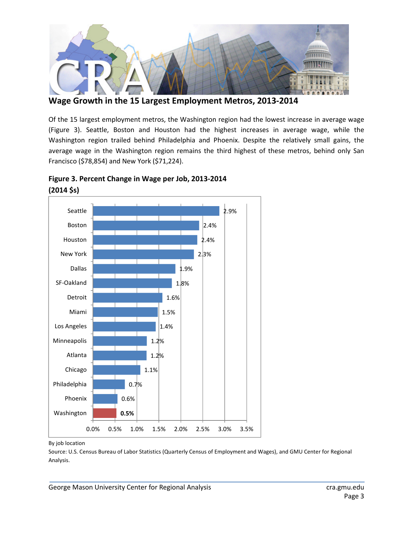

Wage Growth in the 15 Largest Employment Metros, 2013-2014

Of the 15 largest employment metros, the Washington region had the lowest increase in average wage (Figure 3). Seattle, Boston and Houston had the highest increases in average wage, while the Washington region trailed behind Philadelphia and Phoenix. Despite the relatively small gains, the average wage in the Washington region remains the third highest of these metros, behind only San Francisco (\$78,854) and New York (\$71,224).



Figure 3. Percent Change in Wage per Job, 2013-2014 (2014 \$s)

## By job location

Source: U.S. Census Bureau of Labor Statistics (Quarterly Census of Employment and Wages), and GMU Center for Regional Analysis.